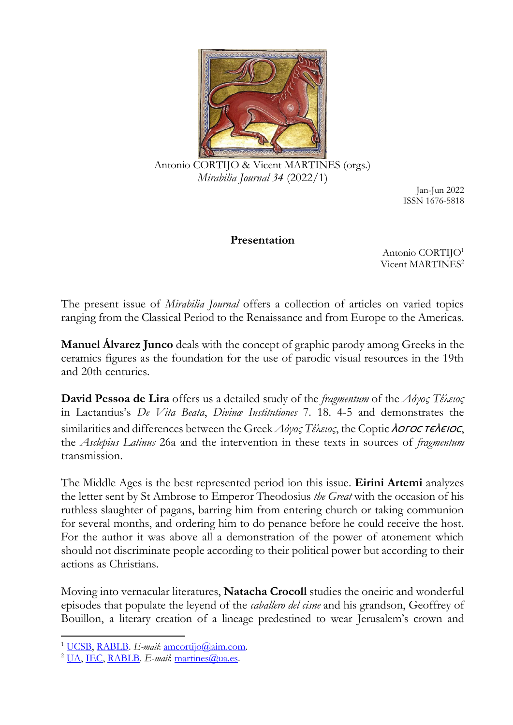

Antonio CORTIJO & Vicent MARTINES (orgs.) *Mirabilia Journal 34* (2022/1)

Jan-Jun 2022 ISSN 1676-5818

## **Presentation**

Antonio CORTIJO<sup>1</sup> Vicent MARTINES<sup>2</sup>

The present issue of *Mirabilia Journal* offers a collection of articles on varied topics ranging from the Classical Period to the Renaissance and from Europe to the Americas.

**Manuel Álvarez Junco** deals with the concept of graphic parody among Greeks in the ceramics figures as the foundation for the use of parodic visual resources in the 19th and 20th centuries.

**David Pessoa de Lira** offers us a detailed study of the *fragmentum* of the *Λόγος Τέλειος* in Lactantius's *De Vita Beata*, *Divinæ Institutiones* 7. 18. 4-5 and demonstrates the similarities and differences between the Greek Λόγος Τέλειος, the Coptic ΛοΓΟC ΤΕΛΕΙΟΣ, the *Asclepius Latinus* 26a and the intervention in these texts in sources of *fragmentum* transmission.

The Middle Ages is the best represented period ion this issue. **Eirini Artemi** analyzes the letter sent by St Ambrose to Emperor Theodosius *the Great* with the occasion of his ruthless slaughter of pagans, barring him from entering church or taking communion for several months, and ordering him to do penance before he could receive the host. For the author it was above all a demonstration of the power of atonement which should not discriminate people according to their political power but according to their actions as Christians.

Moving into vernacular literatures, **Natacha Crocoll** studies the oneiric and wonderful episodes that populate the leyend of the *caballero del cisne* and his grandson, Geoffrey of Bouillon, a literary creation of a lineage predestined to wear Jerusalem's crown and

<sup>&</sup>lt;sup>1</sup> [UCSB,](https://www.ucsb.edu/) [RABLB.](http://www.boneslletres.cat/) *E-mail*: [amcortijo@aim.com.](mailto:amcortijo@aim.com)

<sup>&</sup>lt;sup>2</sup> [UA,](https://www.ua.es/) [IEC,](https://www.iec.cat/) [RABLB.](http://www.boneslletres.cat/) *E-mail*: [martines@ua.es.](mailto:martines@ua.es)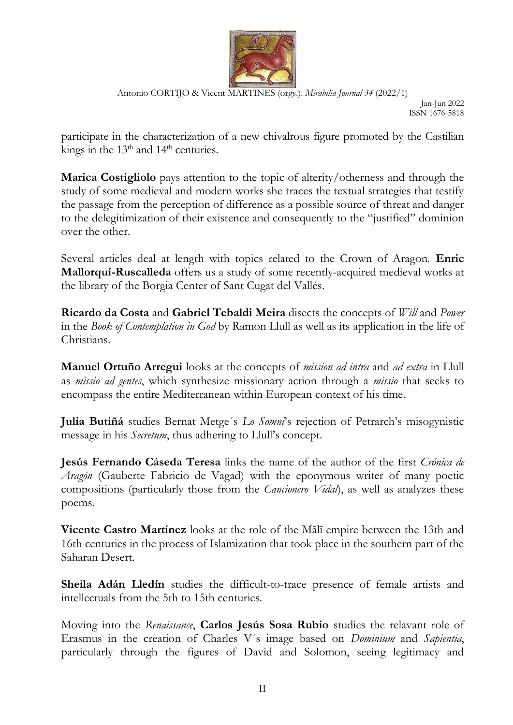

Antonio CORTIJO & Vicent MARTINES (orgs.). *Mirabilia Journal 34* (2022/1)

Jan-Jun 2022 ISSN 1676-5818

participate in the characterization of a new chivalrous figure promoted by the Castilian kings in the  $13<sup>th</sup>$  and  $14<sup>th</sup>$  centuries.

**Marica Costigliolo** pays attention to the topic of alterity/otherness and through the study of some medieval and modern works she traces the textual strategies that testify the passage from the perception of difference as a possible source of threat and danger to the delegitimization of their existence and consequently to the "justified" dominion over the other.

Several articles deal at length with topics related to the Crown of Aragon. **Enric Mallorquí-Ruscalleda** offers us a study of some recently-acquired medieval works at the library of the Borgia Center of Sant Cugat del Vallés.

**Ricardo da Costa** and **Gabriel Tebaldi Meira** disects the concepts of *Will* and *Power*  in the *Book of Contemplation in God* by Ramon Llull as well as its application in the life of Christians.

**Manuel Ortuño Arregui** looks at the concepts of *mission ad intra* and *ad extra* in Llull as *missio ad gentes*, which synthesize missionary action through a *missio* that seeks to encompass the entire Mediterranean within European context of his time.

**Julia Butiñá** studies Bernat Metge´s *Lo Somni*'s rejection of Petrarch's misogynistic message in his *Secretum*, thus adhering to Llull's concept.

**Jesús Fernando Cáseda Teresa** links the name of the author of the first *Crónica de Aragón* (Gauberte Fabricio de Vagad) with the eponymous writer of many poetic compositions (particularly those from the *Cancionero Vidal*), as well as analyzes these poems.

**Vicente Castro Martínez** looks at the role of the Mālī empire between the 13th and 16th centuries in the process of Islamization that took place in the southern part of the Saharan Desert.

**Sheila Adán Lledín** studies the difficult-to-trace presence of female artists and intellectuals from the 5th to 15th centuries.

Moving into the *Renaissance*, **Carlos Jesús Sosa Rubio** studies the relavant role of Erasmus in the creation of Charles V´s image based on *Dominium* and *Sapientia*, particularly through the figures of David and Solomon, seeing legitimacy and